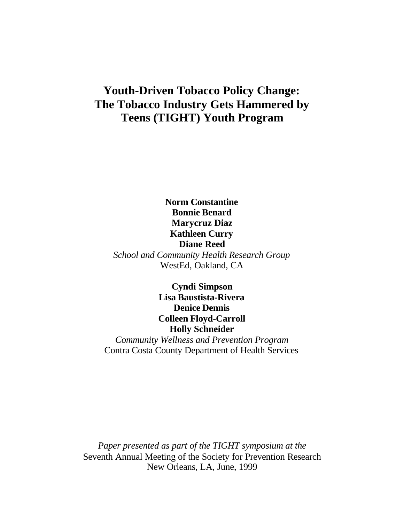# **Youth-Driven Tobacco Policy Change: The Tobacco Industry Gets Hammered by Teens (TIGHT) Youth Program**

**Norm Constantine Bonnie Benard Marycruz Diaz Kathleen Curry Diane Reed** *School and Community Health Research Group* WestEd, Oakland, CA

> **Cyndi Simpson Lisa Baustista-Rivera Denice Dennis Colleen Floyd-Carroll Holly Schneider**

*Community Wellness and Prevention Program* Contra Costa County Department of Health Services

*Paper presented as part of the TIGHT symposium at the* Seventh Annual Meeting of the Society for Prevention Research New Orleans, LA, June, 1999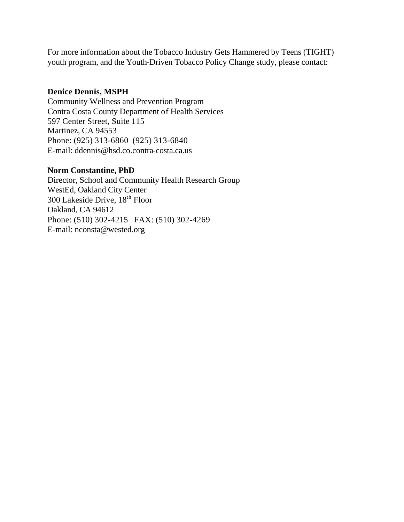For more information about the Tobacco Industry Gets Hammered by Teens (TIGHT) youth program, and the Youth-Driven Tobacco Policy Change study, please contact:

# **Denice Dennis, MSPH**

Community Wellness and Prevention Program Contra Costa County Department of Health Services 597 Center Street, Suite 115 Martinez, CA 94553 Phone: (925) 313-6860 (925) 313-6840 E-mail: ddennis@hsd.co.contra-costa.ca.us

# **Norm Constantine, PhD**

Director, School and Community Health Research Group WestEd, Oakland City Center 300 Lakeside Drive, 18th Floor Oakland, CA 94612 Phone: (510) 302-4215 FAX: (510) 302-4269 E-mail: nconsta@wested.org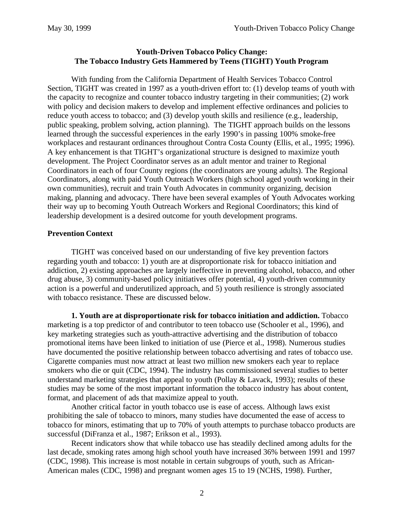# **Youth-Driven Tobacco Policy Change: The Tobacco Industry Gets Hammered by Teens (TIGHT) Youth Program**

With funding from the California Department of Health Services Tobacco Control Section, TIGHT was created in 1997 as a youth-driven effort to: (1) develop teams of youth with the capacity to recognize and counter tobacco industry targeting in their communities; (2) work with policy and decision makers to develop and implement effective ordinances and policies to reduce youth access to tobacco; and (3) develop youth skills and resilience (e.g., leadership, public speaking, problem solving, action planning). The TIGHT approach builds on the lessons learned through the successful experiences in the early 1990's in passing 100% smoke-free workplaces and restaurant ordinances throughout Contra Costa County (Ellis, et al., 1995; 1996). A key enhancement is that TIGHT's organizational structure is designed to maximize youth development. The Project Coordinator serves as an adult mentor and trainer to Regional Coordinators in each of four County regions (the coordinators are young adults). The Regional Coordinators, along with paid Youth Outreach Workers (high school aged youth working in their own communities), recruit and train Youth Advocates in community organizing, decision making, planning and advocacy. There have been several examples of Youth Advocates working their way up to becoming Youth Outreach Workers and Regional Coordinators; this kind of leadership development is a desired outcome for youth development programs.

# **Prevention Context**

TIGHT was conceived based on our understanding of five key prevention factors regarding youth and tobacco: 1) youth are at disproportionate risk for tobacco initiation and addiction, 2) existing approaches are largely ineffective in preventing alcohol, tobacco, and other drug abuse, 3) community-based policy initiatives offer potential, 4) youth-driven community action is a powerful and underutilized approach, and 5) youth resilience is strongly associated with tobacco resistance. These are discussed below.

**1. Youth are at disproportionate risk for tobacco initiation and addiction.** Tobacco marketing is a top predictor of and contributor to teen tobacco use (Schooler et al., 1996), and key marketing strategies such as youth-attractive advertising and the distribution of tobacco promotional items have been linked to initiation of use (Pierce et al., 1998). Numerous studies have documented the positive relationship between tobacco advertising and rates of tobacco use. Cigarette companies must now attract at least two million new smokers each year to replace smokers who die or quit (CDC, 1994). The industry has commissioned several studies to better understand marketing strategies that appeal to youth (Pollay & Lavack, 1993); results of these studies may be some of the most important information the tobacco industry has about content, format, and placement of ads that maximize appeal to youth.

Another critical factor in youth tobacco use is ease of access. Although laws exist prohibiting the sale of tobacco to minors, many studies have documented the ease of access to tobacco for minors, estimating that up to 70% of youth attempts to purchase tobacco products are successful (DiFranza et al., 1987; Erikson et al., 1993).

Recent indicators show that while tobacco use has steadily declined among adults for the last decade, smoking rates among high school youth have increased 36% between 1991 and 1997 (CDC, 1998). This increase is most notable in certain subgroups of youth, such as African-American males (CDC, 1998) and pregnant women ages 15 to 19 (NCHS, 1998). Further,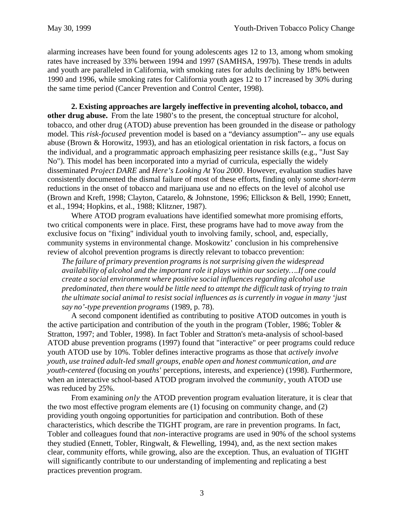alarming increases have been found for young adolescents ages 12 to 13, among whom smoking rates have increased by 33% between 1994 and 1997 (SAMHSA, 1997b). These trends in adults and youth are paralleled in California, with smoking rates for adults declining by 18% between 1990 and 1996, while smoking rates for California youth ages 12 to 17 increased by 30% during the same time period (Cancer Prevention and Control Center, 1998).

**2. Existing approaches are largely ineffective in preventing alcohol, tobacco, and other drug abuse.** From the late 1980's to the present, the conceptual structure for alcohol, tobacco, and other drug (ATOD) abuse prevention has been grounded in the disease or pathology model. This *risk-focused* prevention model is based on a "deviancy assumption"-- any use equals abuse (Brown & Horowitz, 1993), and has an etiological orientation in risk factors, a focus on the individual, and a programmatic approach emphasizing peer resistance skills (e.g., "Just Say No"). This model has been incorporated into a myriad of curricula, especially the widely disseminated *Project DARE* and *Here's Looking At You 2000*. However, evaluation studies have consistently documented the dismal failure of most of these efforts, finding only some *short-term* reductions in the onset of tobacco and marijuana use and no effects on the level of alcohol use (Brown and Kreft, 1998; Clayton, Catarelo, & Johnstone, 1996; Ellickson & Bell, 1990; Ennett, et al., 1994; Hopkins, et al., 1988; Klitzner, 1987).

Where ATOD program evaluations have identified somewhat more promising efforts, two critical components were in place. First, these programs have had to move away from the exclusive focus on "fixing" individual youth to involving family, school, and, especially, community systems in environmental change. Moskowitz' conclusion in his comprehensive review of alcohol prevention programs is directly relevant to tobacco prevention:

*The failure of primary prevention programs is not surprising given the widespread availability of alcohol and the important role it plays within our society….If one could create a social environment where positive social influences regarding alcohol use predominated, then there would be little need to attempt the difficult task of trying to train the ultimate social animal to resist social influences as is currently in vogue in many 'just say no'-type prevention programs* (1989, p. 78).

A second component identified as contributing to positive ATOD outcomes in youth is the active participation and contribution of the youth in the program (Tobler, 1986; Tobler & Stratton, 1997; and Tobler, 1998). In fact Tobler and Stratton's meta-analysis of school-based ATOD abuse prevention programs (1997) found that "interactive" or peer programs could reduce youth ATOD use by 10%. Tobler defines interactive programs as those that *actively involve youth, use trained adult-led small groups, enable open and honest communication, and are youth-centered* (focusing on *youths*' perceptions, interests, and experience) (1998). Furthermore, when an interactive school-based ATOD program involved the *community*, youth ATOD use was reduced by 25%.

From examining *only* the ATOD prevention program evaluation literature, it is clear that the two most effective program elements are (1) focusing on community change, and (2) providing youth ongoing opportunities for participation and contribution. Both of these characteristics, which describe the TIGHT program, are rare in prevention programs. In fact, Tobler and colleagues found that *non-*interactive programs are used in 90% of the school systems they studied (Ennett, Tobler, Ringwalt, & Flewelling, 1994), and, as the next section makes clear, community efforts, while growing, also are the exception. Thus, an evaluation of TIGHT will significantly contribute to our understanding of implementing and replicating a best practices prevention program.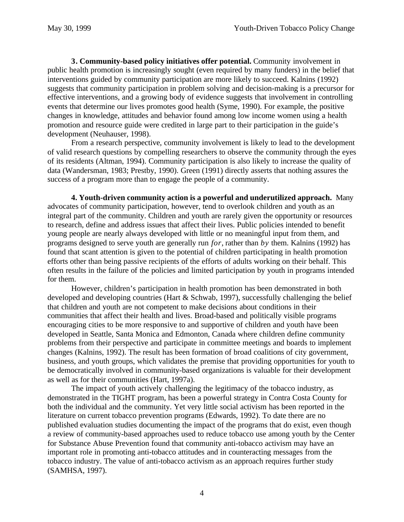**3. Community-based policy initiatives offer potential.** Community involvement in public health promotion is increasingly sought (even required by many funders) in the belief that interventions guided by community participation are more likely to succeed. Kalnins (1992) suggests that community participation in problem solving and decision-making is a precursor for effective interventions, and a growing body of evidence suggests that involvement in controlling events that determine our lives promotes good health (Syme, 1990). For example, the positive changes in knowledge, attitudes and behavior found among low income women using a health promotion and resource guide were credited in large part to their participation in the guide's development (Neuhauser, 1998).

From a research perspective, community involvement is likely to lead to the development of valid research questions by compelling researchers to observe the community through the eyes of its residents (Altman, 1994). Community participation is also likely to increase the quality of data (Wandersman, 1983; Prestby, 1990). Green (1991) directly asserts that nothing assures the success of a program more than to engage the people of a community.

**4. Youth-driven community action is a powerful and underutilized approach.** Many advocates of community participation, however, tend to overlook children and youth as an integral part of the community. Children and youth are rarely given the opportunity or resources to research, define and address issues that affect their lives. Public policies intended to benefit young people are nearly always developed with little or no meaningful input from them, and programs designed to serve youth are generally run *for*, rather than *by* them. Kalnins (1992) has found that scant attention is given to the potential of children participating in health promotion efforts other than being passive recipients of the efforts of adults working on their behalf. This often results in the failure of the policies and limited participation by youth in programs intended for them.

However, children's participation in health promotion has been demonstrated in both developed and developing countries (Hart & Schwab, 1997), successfully challenging the belief that children and youth are not competent to make decisions about conditions in their communities that affect their health and lives. Broad-based and politically visible programs encouraging cities to be more responsive to and supportive of children and youth have been developed in Seattle, Santa Monica and Edmonton, Canada where children define community problems from their perspective and participate in committee meetings and boards to implement changes (Kalnins, 1992). The result has been formation of broad coalitions of city government, business, and youth groups, which validates the premise that providing opportunities for youth to be democratically involved in community-based organizations is valuable for their development as well as for their communities (Hart, 1997a).

The impact of youth actively challenging the legitimacy of the tobacco industry, as demonstrated in the TIGHT program, has been a powerful strategy in Contra Costa County for both the individual and the community. Yet very little social activism has been reported in the literature on current tobacco prevention programs (Edwards, 1992). To date there are no published evaluation studies documenting the impact of the programs that do exist, even though a review of community-based approaches used to reduce tobacco use among youth by the Center for Substance Abuse Prevention found that community anti-tobacco activism may have an important role in promoting anti-tobacco attitudes and in counteracting messages from the tobacco industry. The value of anti-tobacco activism as an approach requires further study (SAMHSA, 1997).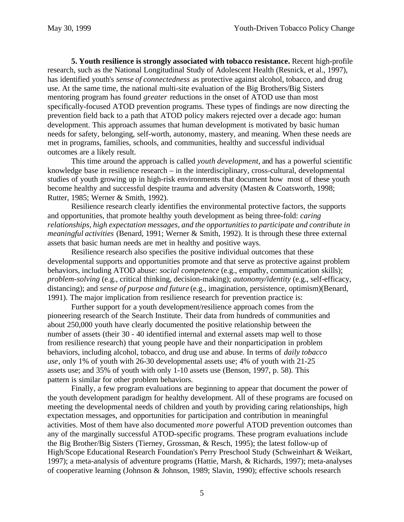**5. Youth resilience is strongly associated with tobacco resistance.** Recent high-profile research, such as the National Longitudinal Study of Adolescent Health (Resnick, et al., 1997), has identified youth's *sense of connectedness* as protective against alcohol, tobacco, and drug use. At the same time, the national multi-site evaluation of the Big Brothers/Big Sisters mentoring program has found *greater* reductions in the onset of ATOD use than most specifically-focused ATOD prevention programs. These types of findings are now directing the prevention field back to a path that ATOD policy makers rejected over a decade ago: human development. This approach assumes that human development is motivated by basic human needs for safety, belonging, self-worth, autonomy, mastery, and meaning. When these needs are met in programs, families, schools, and communities, healthy and successful individual outcomes are a likely result.

This time around the approach is called *youth development,* and has a powerful scientific knowledge base in resilience research – in the interdisciplinary, cross-cultural, developmental studies of youth growing up in high-risk environments that document how most of these youth become healthy and successful despite trauma and adversity (Masten & Coatsworth, 1998; Rutter, 1985; Werner & Smith, 1992).

Resilience research clearly identifies the environmental protective factors, the supports and opportunities, that promote healthy youth development as being three-fold: *caring relationships, high expectation messages, and the opportunities to participate and contribute in meaningful activities* (Benard, 1991; Werner & Smith, 1992). It is through these three external assets that basic human needs are met in healthy and positive ways.

Resilience research also specifies the positive individual outcomes that these developmental supports and opportunities promote and that serve as protective against problem behaviors, including ATOD abuse: *social competence* (e.g., empathy, communication skills); *problem-solving* (e.g., critical thinking, decision-making); *autonomy/identity* (e.g., self-efficacy, distancing); and *sense of purpose and future* (e.g., imagination, persistence, optimism)(Benard, 1991). The major implication from resilience research for prevention practice is:

Further support for a youth development/resilience approach comes from the pioneering research of the Search Institute. Their data from hundreds of communities and about 250,000 youth have clearly documented the positive relationship between the number of assets (their 30 - 40 identified internal and external assets map well to those from resilience research) that young people have and their nonparticipation in problem behaviors, including alcohol, tobacco, and drug use and abuse. In terms of *daily tobacco use*, only 1% of youth with 26-30 developmental assets use; 4% of youth with 21-25 assets use; and 35% of youth with only 1-10 assets use (Benson, 1997, p. 58). This pattern is similar for other problem behaviors.

Finally, a few program evaluations are beginning to appear that document the power of the youth development paradigm for healthy development. All of these programs are focused on meeting the developmental needs of children and youth by providing caring relationships, high expectation messages, and opportunities for participation and contribution in meaningful activities. Most of them have also documented *more* powerful ATOD prevention outcomes than any of the marginally successful ATOD-specific programs. These program evaluations include the Big Brother/Big Sisters (Tierney, Grossman, & Resch, 1995); the latest follow-up of High/Scope Educational Research Foundation's Perry Preschool Study (Schweinhart & Weikart, 1997); a meta-analysis of adventure programs (Hattie, Marsh, & Richards, 1997); meta-analyses of cooperative learning (Johnson & Johnson, 1989; Slavin, 1990); effective schools research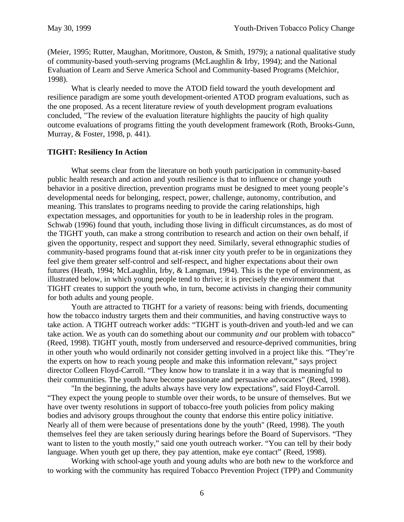(Meier, 1995; Rutter, Maughan, Moritmore, Ouston, & Smith, 1979); a national qualitative study of community-based youth-serving programs (McLaughlin & Irby, 1994); and the National Evaluation of Learn and Serve America School and Community-based Programs (Melchior, 1998).

What is clearly needed to move the ATOD field toward the youth development and resilience paradigm are some youth development-oriented ATOD program evaluations, such as the one proposed. As a recent literature review of youth development program evaluations concluded, "The review of the evaluation literature highlights the paucity of high quality outcome evaluations of programs fitting the youth development framework (Roth, Brooks-Gunn, Murray, & Foster, 1998, p. 441).

## **TIGHT: Resiliency In Action**

What seems clear from the literature on both youth participation in community-based public health research and action and youth resilience is that to influence or change youth behavior in a positive direction, prevention programs must be designed to meet young people's developmental needs for belonging, respect, power, challenge, autonomy, contribution, and meaning. This translates to programs needing to provide the caring relationships, high expectation messages, and opportunities for youth to be in leadership roles in the program. Schwab (1996) found that youth, including those living in difficult circumstances, as do most of the TIGHT youth, can make a strong contribution to research and action on their own behalf, if given the opportunity, respect and support they need. Similarly, several ethnographic studies of community-based programs found that at-risk inner city youth prefer to be in organizations they feel give them greater self-control and self-respect, and higher expectations about their own futures (Heath, 1994; McLaughlin, Irby, & Langman, 1994). This is the type of environment, as illustrated below, in which young people tend to thrive; it is precisely the environment that TIGHT creates to support the youth who, in turn, become activists in changing their community for both adults and young people.

Youth are attracted to TIGHT for a variety of reasons: being with friends, documenting how the tobacco industry targets them and their communities, and having constructive ways to take action. A TIGHT outreach worker adds: "TIGHT is youth-driven and youth-led and we can take action. We as youth can do something about our community *and* our problem with tobacco" (Reed, 1998). TIGHT youth, mostly from underserved and resource-deprived communities, bring in other youth who would ordinarily not consider getting involved in a project like this. "They're the experts on how to reach young people and make this information relevant," says project director Colleen Floyd-Carroll. "They know how to translate it in a way that is meaningful to their communities. The youth have become passionate and persuasive advocates" (Reed, 1998).

"In the beginning, the adults always have very low expectations", said Floyd-Carroll. "They expect the young people to stumble over their words, to be unsure of themselves. But we have over twenty resolutions in support of tobacco-free youth policies from policy making bodies and advisory groups throughout the county that endorse this entire policy initiative. Nearly all of them were because of presentations done by the youth" (Reed, 1998). The youth themselves feel they are taken seriously during hearings before the Board of Supervisors. "They want to listen to the youth mostly," said one youth outreach worker. "You can tell by their body language. When youth get up there, they pay attention, make eye contact" (Reed, 1998).

Working with school-age youth and young adults who are both new to the workforce and to working with the community has required Tobacco Prevention Project (TPP) and Community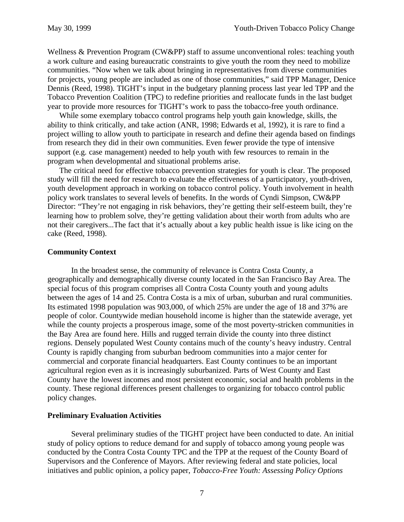Wellness & Prevention Program (CW&PP) staff to assume unconventional roles: teaching youth a work culture and easing bureaucratic constraints to give youth the room they need to mobilize communities. "Now when we talk about bringing in representatives from diverse communities for projects, young people are included as one of those communities," said TPP Manager, Denice Dennis (Reed, 1998). TIGHT's input in the budgetary planning process last year led TPP and the Tobacco Prevention Coalition (TPC) to redefine priorities and reallocate funds in the last budget year to provide more resources for TIGHT's work to pass the tobacco-free youth ordinance.

While some exemplary tobacco control programs help youth gain knowledge, skills, the ability to think critically, and take action (ANR, 1998; Edwards et al, 1992), it is rare to find a project willing to allow youth to participate in research and define their agenda based on findings from research they did in their own communities. Even fewer provide the type of intensive support (e.g. case management) needed to help youth with few resources to remain in the program when developmental and situational problems arise.

The critical need for effective tobacco prevention strategies for youth is clear. The proposed study will fill the need for research to evaluate the effectiveness of a participatory, youth-driven, youth development approach in working on tobacco control policy. Youth involvement in health policy work translates to several levels of benefits. In the words of Cyndi Simpson, CW&PP Director: "They're not engaging in risk behaviors, they're getting their self-esteem built, they're learning how to problem solve, they're getting validation about their worth from adults who are not their caregivers...The fact that it's actually about a key public health issue is like icing on the cake (Reed, 1998).

### **Community Context**

In the broadest sense, the community of relevance is Contra Costa County, a geographically and demographically diverse county located in the San Francisco Bay Area. The special focus of this program comprises all Contra Costa County youth and young adults between the ages of 14 and 25. Contra Costa is a mix of urban, suburban and rural communities. Its estimated 1998 population was 903,000, of which 25% are under the age of 18 and 37% are people of color. Countywide median household income is higher than the statewide average, yet while the county projects a prosperous image, some of the most poverty-stricken communities in the Bay Area are found here. Hills and rugged terrain divide the county into three distinct regions. Densely populated West County contains much of the county's heavy industry. Central County is rapidly changing from suburban bedroom communities into a major center for commercial and corporate financial headquarters. East County continues to be an important agricultural region even as it is increasingly suburbanized. Parts of West County and East County have the lowest incomes and most persistent economic, social and health problems in the county. These regional differences present challenges to organizing for tobacco control public policy changes.

### **Preliminary Evaluation Activities**

Several preliminary studies of the TIGHT project have been conducted to date. An initial study of policy options to reduce demand for and supply of tobacco among young people was conducted by the Contra Costa County TPC and the TPP at the request of the County Board of Supervisors and the Conference of Mayors. After reviewing federal and state policies, local initiatives and public opinion, a policy paper, *Tobacco-Free Youth: Assessing Policy Options*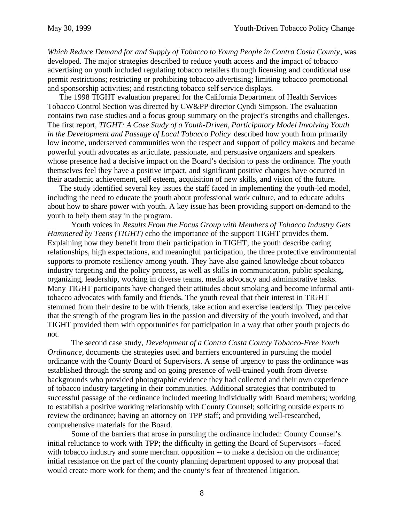*Which Reduce Demand for and Supply of Tobacco to Young People in Contra Costa County*, was developed. The major strategies described to reduce youth access and the impact of tobacco advertising on youth included regulating tobacco retailers through licensing and conditional use permit restrictions; restricting or prohibiting tobacco advertising; limiting tobacco promotional and sponsorship activities; and restricting tobacco self service displays.

The 1998 TIGHT evaluation prepared for the California Department of Health Services Tobacco Control Section was directed by CW&PP director Cyndi Simpson. The evaluation contains two case studies and a focus group summary on the project's strengths and challenges. The first report, *TIGHT: A Case Study of a Youth-Driven, Participatory Model Involving Youth in the Development and Passage of Local Tobacco Policy* described how youth from primarily low income, underserved communities won the respect and support of policy makers and became powerful youth advocates as articulate, passionate, and persuasive organizers and speakers whose presence had a decisive impact on the Board's decision to pass the ordinance. The youth themselves feel they have a positive impact, and significant positive changes have occurred in their academic achievement, self esteem, acquisition of new skills, and vision of the future.

The study identified several key issues the staff faced in implementing the youth-led model, including the need to educate the youth about professional work culture, and to educate adults about how to share power with youth. A key issue has been providing support on-demand to the youth to help them stay in the program.

Youth voices in *Results From the Focus Group with Members of Tobacco Industry Gets Hammered by Teens (TIGHT)* echo the importance of the support TIGHT provides them. Explaining how they benefit from their participation in TIGHT, the youth describe caring relationships, high expectations, and meaningful participation, the three protective environmental supports to promote resiliency among youth. They have also gained knowledge about tobacco industry targeting and the policy process, as well as skills in communication, public speaking, organizing, leadership, working in diverse teams, media advocacy and administrative tasks. Many TIGHT participants have changed their attitudes about smoking and become informal antitobacco advocates with family and friends. The youth reveal that their interest in TIGHT stemmed from their desire to be with friends, take action and exercise leadership. They perceive that the strength of the program lies in the passion and diversity of the youth involved, and that TIGHT provided them with opportunities for participation in a way that other youth projects do not.

The second case study, *Development of a Contra Costa County Tobacco-Free Youth Ordinance*, documents the strategies used and barriers encountered in pursuing the model ordinance with the County Board of Supervisors. A sense of urgency to pass the ordinance was established through the strong and on going presence of well-trained youth from diverse backgrounds who provided photographic evidence they had collected and their own experience of tobacco industry targeting in their communities. Additional strategies that contributed to successful passage of the ordinance included meeting individually with Board members; working to establish a positive working relationship with County Counsel; soliciting outside experts to review the ordinance; having an attorney on TPP staff; and providing well-researched, comprehensive materials for the Board.

Some of the barriers that arose in pursuing the ordinance included: County Counsel's initial reluctance to work with TPP; the difficulty in getting the Board of Supervisors --faced with tobacco industry and some merchant opposition -- to make a decision on the ordinance; initial resistance on the part of the county planning department opposed to any proposal that would create more work for them; and the county's fear of threatened litigation.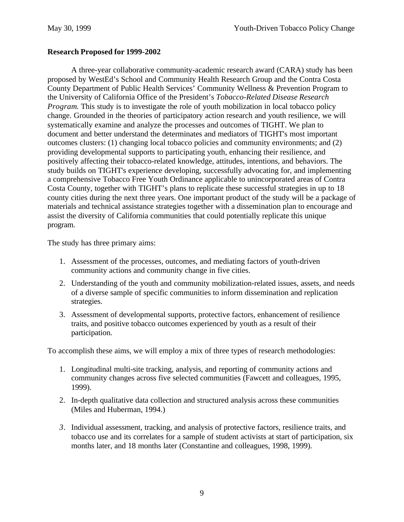# **Research Proposed for 1999-2002**

A three-year collaborative community-academic research award (CARA) study has been proposed by WestEd's School and Community Health Research Group and the Contra Costa County Department of Public Health Services' Community Wellness & Prevention Program to the University of California Office of the President's *Tobacco-Related Disease Research Program*. This study is to investigate the role of youth mobilization in local tobacco policy change. Grounded in the theories of participatory action research and youth resilience, we will systematically examine and analyze the processes and outcomes of TIGHT. We plan to document and better understand the determinates and mediators of TIGHT's most important outcomes clusters: (1) changing local tobacco policies and community environments; and (2) providing developmental supports to participating youth, enhancing their resilience, and positively affecting their tobacco-related knowledge, attitudes, intentions, and behaviors. The study builds on TIGHT's experience developing, successfully advocating for, and implementing a comprehensive Tobacco Free Youth Ordinance applicable to unincorporated areas of Contra Costa County, together with TIGHT's plans to replicate these successful strategies in up to 18 county cities during the next three years. One important product of the study will be a package of materials and technical assistance strategies together with a dissemination plan to encourage and assist the diversity of California communities that could potentially replicate this unique program.

The study has three primary aims:

- 1. Assessment of the processes, outcomes, and mediating factors of youth-driven community actions and community change in five cities.
- 2. Understanding of the youth and community mobilization-related issues, assets, and needs of a diverse sample of specific communities to inform dissemination and replication strategies.
- 3. Assessment of developmental supports, protective factors, enhancement of resilience traits, and positive tobacco outcomes experienced by youth as a result of their participation.

To accomplish these aims, we will employ a mix of three types of research methodologies:

- 1. Longitudinal multi-site tracking, analysis, and reporting of community actions and community changes across five selected communities (Fawcett and colleagues, 1995, 1999).
- 2. In-depth qualitative data collection and structured analysis across these communities (Miles and Huberman, 1994.)
- *3.* Individual assessment, tracking, and analysis of protective factors, resilience traits, and tobacco use and its correlates for a sample of student activists at start of participation, six months later, and 18 months later (Constantine and colleagues, 1998, 1999).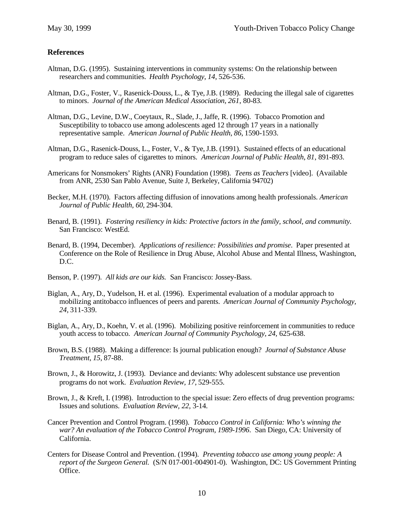## **References**

- Altman, D.G. (1995). Sustaining interventions in community systems: On the relationship between researchers and communities. *Health Psychology*, *14*, 526-536.
- Altman, D.G., Foster, V., Rasenick-Douss, L., & Tye, J.B. (1989). Reducing the illegal sale of cigarettes to minors. *Journal of the American Medical Association*, *261*, 80-83.
- Altman, D.G., Levine, D.W., Coeytaux, R., Slade, J., Jaffe, R. (1996). Tobacco Promotion and Susceptibility to tobacco use among adolescents aged 12 through 17 years in a nationally representative sample. *American Journal of Public Health*, *86*, 1590-1593.
- Altman, D.G., Rasenick-Douss, L., Foster, V., & Tye, J.B. (1991). Sustained effects of an educational program to reduce sales of cigarettes to minors. *American Journal of Public Health*, *81*, 891-893.
- Americans for Nonsmokers' Rights (ANR) Foundation (1998). *Teens as Teachers* [video]. (Available from ANR, 2530 San Pablo Avenue, Suite J, Berkeley, California 94702)
- Becker, M.H. (1970). Factors affecting diffusion of innovations among health professionals. *American Journal of Public Health, 60*, 294-304.
- Benard, B. (1991). *Fostering resiliency in kids: Protective factors in the family, school, and community.* San Francisco: WestEd.
- Benard, B. (1994, December). *Applications of resilience: Possibilities and promise*. Paper presented at Conference on the Role of Resilience in Drug Abuse, Alcohol Abuse and Mental Illness, Washington, D.C.
- Benson, P. (1997). *All kids are our kids.* San Francisco: Jossey-Bass.
- Biglan, A., Ary, D., Yudelson, H. et al. (1996). Experimental evaluation of a modular approach to mobilizing antitobacco influences of peers and parents. *American Journal of Community Psychology, 24*, 311-339.
- Biglan, A., Ary, D., Koehn, V. et al. (1996). Mobilizing positive reinforcement in communities to reduce youth access to tobacco. *American Journal of Community Psychology, 24*, 625-638.
- Brown, B.S. (1988). Making a difference: Is journal publication enough? *Journal of Substance Abuse Treatment*, *15*, 87-88.
- Brown, J., & Horowitz, J. (1993). Deviance and deviants: Why adolescent substance use prevention programs do not work. *Evaluation Review, 17*, 529-555.
- Brown, J., & Kreft, I. (1998). Introduction to the special issue: Zero effects of drug prevention programs: Issues and solutions. *Evaluation Review, 22*, 3-14.
- Cancer Prevention and Control Program. (1998). *Tobacco Control in California: Who's winning the war? An evaluation of the Tobacco Control Program, 1989-1996*. San Diego, CA: University of California.
- Centers for Disease Control and Prevention. (1994). *Preventing tobacco use among young people: A report of the Surgeon General.* (S/N 017-001-004901-0). Washington, DC: US Government Printing Office.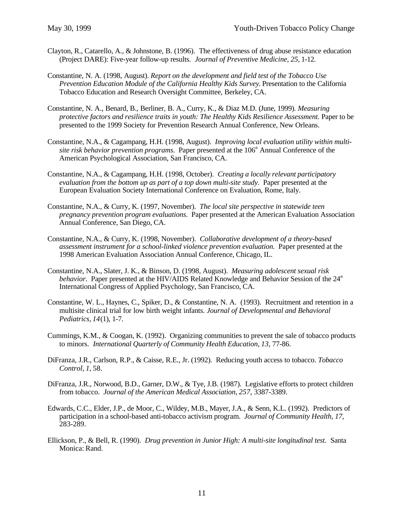- Clayton, R., Catarello, A., & Johnstone, B. (1996). The effectiveness of drug abuse resistance education (Project DARE): Five-year follow-up results. *Journal of Preventive Medicine, 25,* 1-12.
- Constantine, N. A. (1998, August). *Report on the development and field test of the Tobacco Use* Prevention Education Module of the California Healthy Kids Survey. Presentation to the California Tobacco Education and Research Oversight Committee, Berkeley, CA.
- Constantine, N. A., Benard, B., Berliner, B. A., Curry, K., & Diaz M.D. (June, 1999). *Measuring protective factors and resilience traits in youth: The Healthy Kids Resilience Assessment.* Paper to be presented to the 1999 Society for Prevention Research Annual Conference, New Orleans.
- Constantine, N.A., & Cagampang, H.H. (1998, August). *Improving local evaluation utility within multisite risk behavior prevention programs.* Paper presented at the 106<sup>th</sup> Annual Conference of the American Psychological Association, San Francisco, CA.
- Constantine, N.A., & Cagampang, H.H. (1998, October). *Creating a locally relevant participatory* evaluation from the bottom up as part of a top down multi-site study. Paper presented at the European Evaluation Society International Conference on Evaluation, Rome, Italy.
- Constantine, N.A., & Curry, K. (1997, November). *The local site perspective in statewide teen pregnancy prevention program evaluations.* Paper presented at the American Evaluation Association Annual Conference, San Diego, CA.
- Constantine, N.A., & Curry, K. (1998, November). *Collaborative development of a theory-based assessment instrument for a school-linked violence prevention evaluation.* Paper presented at the 1998 American Evaluation Association Annual Conference, Chicago, IL.
- Constantine, N.A., Slater, J. K., & Binson, D. (1998, August). *Measuring adolescent sexual risk behavior.* Paper presented at the HIV/AIDS Related Knowledge and Behavior Session of the 24<sup>th</sup> International Congress of Applied Psychology, San Francisco, CA.
- Constantine, W. L., Haynes, C., Spiker, D., & Constantine, N. A. (1993). Recruitment and retention in a multisite clinical trial for low birth weight infants. *Journal of Developmental and Behavioral Pediatrics, 14*(1), 1-7.
- Cummings, K.M., & Coogan, K. (1992). Organizing communities to prevent the sale of tobacco products to minors. *International Quarterly of Community Health Education*, *13*, 77-86.
- DiFranza, J.R., Carlson, R.P., & Caisse, R.E., Jr. (1992). Reducing youth access to tobacco. *Tobacco Control, 1*, 58.
- DiFranza, J.R., Norwood, B.D., Garner, D.W., & Tye, J.B. (1987). Legislative efforts to protect children from tobacco. *Journal of the American Medical Association*, *257*, 3387-3389.
- Edwards, C.C., Elder, J.P., de Moor, C., Wildey, M.B., Mayer, J.A., & Senn, K.L. (1992). Predictors of participation in a school-based anti-tobacco activism program*. Journal of Community Health, 17*, 283-289.
- Ellickson, P., & Bell, R. (1990). *Drug prevention in Junior High: A multi-site longitudinal test.* Santa Monica: Rand.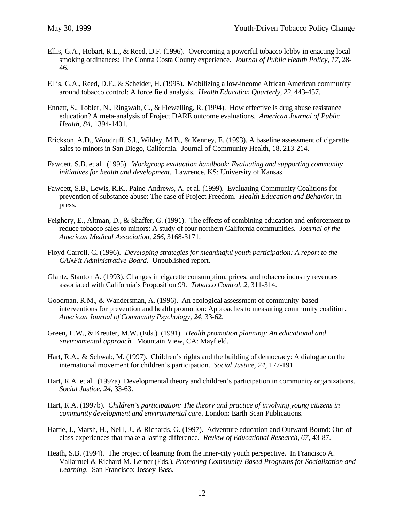- Ellis, G.A., Hobart, R.L., & Reed, D.F. (1996). Overcoming a powerful tobacco lobby in enacting local smoking ordinances: The Contra Costa County experience. *Journal of Public Health Policy, 17*, 28- 46.
- Ellis, G.A., Reed, D.F., & Scheider, H. (1995). Mobilizing a low-income African American community around tobacco control: A force field analysis. *Health Education Quarterly, 22*, 443-457.
- Ennett, S., Tobler, N., Ringwalt, C., & Flewelling, R. (1994). How effective is drug abuse resistance education? A meta-analysis of Project DARE outcome evaluations. *American Journal of Public Health, 84*, 1394-1401.
- Erickson, A.D., Woodruff, S.I., Wildey, M.B., & Kenney, E. (1993). A baseline assessment of cigarette sales to minors in San Diego, California. Journal of Community Health, 18, 213-214.
- Fawcett, S.B. et al. (1995). *Workgroup evaluation handbook: Evaluating and supporting community initiatives for health and development*. Lawrence, KS: University of Kansas.
- Fawcett, S.B., Lewis, R.K., Paine-Andrews, A. et al. (1999). Evaluating Community Coalitions for prevention of substance abuse: The case of Project Freedom. *Health Education and Behavior*, in press.
- Feighery, E., Altman, D., & Shaffer, G. (1991). The effects of combining education and enforcement to reduce tobacco sales to minors: A study of four northern California communities. *Journal of the American Medical Association*, *266*, 3168-3171.
- Floyd-Carroll, C. (1996). *Developing strategies for meaningful youth participation: A report to the CANFit Administrative Board.* Unpublished report.
- Glantz, Stanton A. (1993). Changes in cigarette consumption, prices, and tobacco industry revenues associated with California's Proposition 99. *Tobacco Control, 2,* 311-314.
- Goodman, R.M., & Wandersman, A. (1996). An ecological assessment of community-based interventions for prevention and health promotion: Approaches to measuring community coalition. *American Journal of Community Psychology, 24,* 33-62.
- Green, L.W., & Kreuter, M.W. (Eds.). (1991). *Health promotion planning: An educational and environmental approach.* Mountain View, CA: Mayfield.
- Hart, R.A., & Schwab, M. (1997). Children's rights and the building of democracy: A dialogue on the international movement for children's participation. *Social Justice, 24*, 177-191.
- Hart, R.A. et al. (1997a) Developmental theory and children's participation in community organizations. *Social Justice, 24*, 33-63.
- Hart, R.A. (1997b). *Children's participation: The theory and practice of involving young citizens in community development and environmental care*. London: Earth Scan Publications.
- Hattie, J., Marsh, H., Neill, J., & Richards, G. (1997). Adventure education and Outward Bound: Out-ofclass experiences that make a lasting difference. *Review of Educational Research, 67,* 43-87.
- Heath, S.B. (1994). The project of learning from the inner-city youth perspective. In Francisco A. Vallarruel & Richard M. Lerner (Eds.), *Promoting Community-Based Programs for Socialization and Learning*. San Francisco: Jossey-Bass.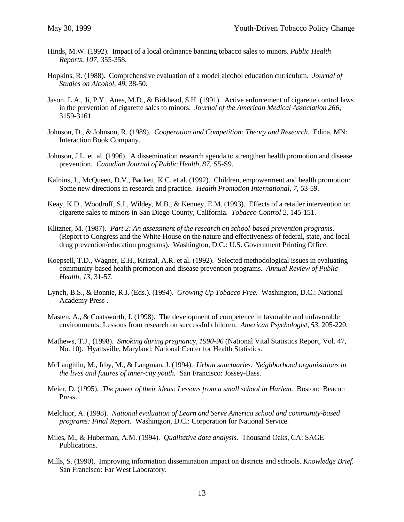- Hinds, M.W. (1992). Impact of a local ordinance banning tobacco sales to minors. *Public Health Reports*, *107*, 355-358.
- Hopkins, R. (1988). Comprehensive evaluation of a model alcohol education curriculum. *Journal of Studies on Alcohol, 49*, 38-50.
- Jason, L.A., Ji, P.Y., Anes, M.D., & Birkhead, S.H. (1991). Active enforcement of cigarette control laws in the prevention of cigarette sales to minors. *Journal of the American Medical Association 266*, 3159-3161.
- Johnson, D., & Johnson, R. (1989). *Cooperation and Competition: Theory and Research.* Edina, MN: Interaction Book Company.
- Johnson, J.L. et. al. (1996). A dissemination research agenda to strengthen health promotion and disease prevention. *Canadian Journal of Public Health, 87*, S5-S9.
- Kalnins, I., McQueen, D.V., Backett, K.C. et al. (1992). Children, empowerment and health promotion: Some new directions in research and practice. *Health Promotion International, 7*, 53-59.
- Keay, K.D., Woodruff, S.I., Wildey, M.B., & Kenney, E.M. (1993). Effects of a retailer intervention on cigarette sales to minors in San Diego County, California. *Tobacco Control 2*, 145-151.
- Klitzner, M. (1987). *Part 2: An assessment of the research on school-based prevention programs*. (Report to Congress and the White House on the nature and effectiveness of federal, state, and local drug prevention/education programs). Washington, D.C.: U.S. Government Printing Office.
- Koepsell, T.D., Wagner, E.H., Kristal, A.R. et al. (1992). Selected methodological issues in evaluating community-based health promotion and disease prevention programs. *Annual Review of Public Health, 13,* 31-57.
- Lynch, B.S., & Bonnie, R.J. (Eds.). (1994). *Growing Up Tobacco Free.* Washington, D.C.: National Academy Press .
- Masten, A., & Coatsworth, J. (1998). The development of competence in favorable and unfavorable environments: Lessons from research on successful children. *American Psychologist, 53*, 205-220.
- Mathews, T.J., (1998). *Smoking during pregnancy, 1990-96* (National Vital Statistics Report, Vol. 47, No. 10). Hyattsville, Maryland: National Center for Health Statistics.
- McLaughlin, M., Irby, M., & Langman, J. (1994). *Urban sanctuaries: Neighborhood organizations in the lives and futures of inner-city youth.* San Francisco: Jossey-Bass.
- Meier, D. (1995). *The power of their ideas: Lessons from a small school in Harlem.* Boston: Beacon Press.
- Melchior, A. (1998). *National evaluation of Learn and Serve America school and community-based programs: Final Report*. Washington, D.C.: Corporation for National Service.
- Miles, M., & Huberman, A.M. (1994). *Qualitative data analysis*. Thousand Oaks, CA: SAGE Publications.
- Mills, S. (1990). Improving information dissemination impact on districts and schools. *Knowledge Brief.* San Francisco: Far West Laboratory.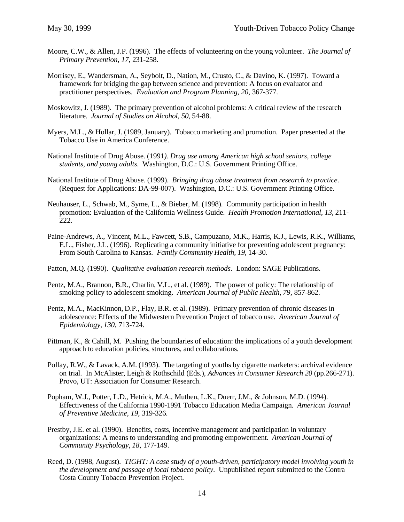- Moore, C.W., & Allen, J.P. (1996). The effects of volunteering on the young volunteer. *The Journal of Primary Prevention, 17*, 231-258.
- Morrisey, E., Wandersman, A., Seybolt, D., Nation, M., Crusto, C., & Davino, K. (1997). Toward a framework for bridging the gap between science and prevention: A focus on evaluator and practitioner perspectives. *Evaluation and Program Planning, 20*, 367-377.
- Moskowitz, J. (1989). The primary prevention of alcohol problems: A critical review of the research literature. *Journal of Studies on Alcohol, 50,* 54-88.
- Myers, M.L., & Hollar, J. (1989, January). Tobacco marketing and promotion. Paper presented at the Tobacco Use in America Conference.
- National Institute of Drug Abuse. (1991*). Drug use among American high school seniors, college students, and young adults*. Washington, D.C.: U.S. Government Printing Office.
- National Institute of Drug Abuse. (1999). *Bringing drug abuse treatment from research to practice*. (Request for Applications: DA-99-007). Washington, D.C.: U.S. Government Printing Office.
- Neuhauser, L., Schwab, M., Syme, L., & Bieber, M. (1998). Community participation in health promotion: Evaluation of the California Wellness Guide. *Health Promotion International, 13*, 211- 222.
- Paine-Andrews, A., Vincent, M.L., Fawcett, S.B., Campuzano, M.K., Harris, K.J., Lewis, R.K., Williams, E.L., Fisher, J.L. (1996). Replicating a community initiative for preventing adolescent pregnancy: From South Carolina to Kansas. *Family Community Health, 19*, 14-30.
- Patton, M.Q. (1990). *Qualitative evaluation research methods*. London: SAGE Publications.
- Pentz, M.A., Brannon, B.R., Charlin, V.L., et al. (1989). The power of policy: The relationship of smoking policy to adolescent smoking. *American Journal of Public Health*, *79*, 857-862.
- Pentz, M.A., MacKinnon, D.P., Flay, B.R. et al. (1989). Primary prevention of chronic diseases in adolescence: Effects of the Midwestern Prevention Project of tobacco use. *American Journal of Epidemiology, 130*, 713-724.
- Pittman, K., & Cahill, M. Pushing the boundaries of education: the implications of a youth development approach to education policies, structures, and collaborations*.*
- Pollay, R.W., & Lavack, A.M. (1993). The targeting of youths by cigarette marketers: archival evidence on trial. In McAlister, Leigh & Rothschild (Eds.), *Advances in Consumer Research 20* (pp.266-271). Provo, UT: Association for Consumer Research.
- Popham, W.J., Potter, L.D., Hetrick, M.A., Muthen, L.K., Duerr, J.M., & Johnson, M.D. (1994). Effectiveness of the California 1990-1991 Tobacco Education Media Campaign. *American Journal of Preventive Medicine, 19*, 319-326.
- Prestby, J.E. et al. (1990). Benefits, costs, incentive management and participation in voluntary organizations: A means to understanding and promoting empowerment. *American Journal of Community Psychology*, *18*, 177-149.
- Reed, D. (1998, August). *TIGHT: A case study of a youth-driven, participatory model involving youth in the development and passage of local tobacco policy*. Unpublished report submitted to the Contra Costa County Tobacco Prevention Project.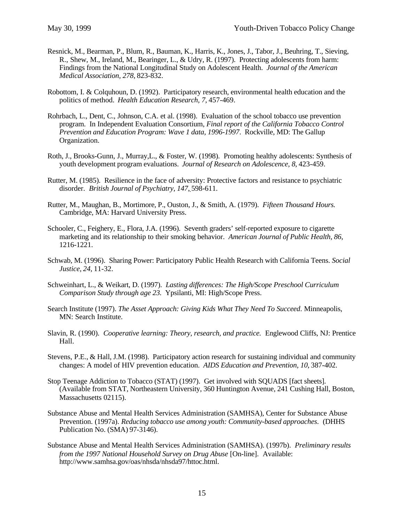- Resnick, M., Bearman, P., Blum, R., Bauman, K., Harris, K., Jones, J., Tabor, J., Beuhring, T., Sieving, R., Shew, M., Ireland, M., Bearinger, L., & Udry, R. (1997). Protecting adolescents from harm: Findings from the National Longitudinal Study on Adolescent Health. *Journal of the American Medical Association, 278*, 823-832.
- Robottom, I. & Colquhoun, D. (1992). Participatory research, environmental health education and the politics of method. *Health Education Research, 7*, 457-469.
- Rohrbach, L., Dent, C., Johnson, C.A. et al. (1998). Evaluation of the school tobacco use prevention program. In Independent Evaluation Consortium*, Final report of the California Tobacco Control Prevention and Education Program: Wave 1 data, 1996-1997*. Rockville, MD: The Gallup Organization.
- Roth, J., Brooks-Gunn, J., Murray,L., & Foster, W. (1998). Promoting healthy adolescents: Synthesis of youth development program evaluations. *Journal of Research on Adolescence, 8*, 423-459.
- Rutter, M. (1985). Resilience in the face of adversity: Protective factors and resistance to psychiatric disorder. *British Journal of Psychiatry, 147*, 598-611.
- Rutter, M., Maughan, B., Mortimore, P., Ouston, J., & Smith, A. (1979). *Fifteen Thousand Hours.* Cambridge, MA: Harvard University Press.
- Schooler, C., Feighery, E., Flora, J.A. (1996). Seventh graders' self-reported exposure to cigarette marketing and its relationship to their smoking behavior. *American Journal of Public Health, 86*, 1216-1221.
- Schwab, M. (1996). Sharing Power: Participatory Public Health Research with California Teens. *Social Justice, 24*, 11-32.
- Schweinhart, L., & Weikart, D. (1997). *Lasting differences: The High/Scope Preschool Curriculum Comparison Study through age 23.* Ypsilanti, MI: High/Scope Press.
- Search Institute (1997). *The Asset Approach: Giving Kids What They Need To Succeed*. Minneapolis, MN: Search Institute.
- Slavin, R. (1990). *Cooperative learning: Theory, research, and practice.* Englewood Cliffs, NJ: Prentice Hall.
- Stevens, P.E., & Hall, J.M. (1998). Participatory action research for sustaining individual and community changes: A model of HIV prevention education. *AIDS Education and Prevention, 10*, 387-402.
- Stop Teenage Addiction to Tobacco (STAT) (1997). Get involved with SQUADS [fact sheets]. (Available from STAT, Northeastern University, 360 Huntington Avenue, 241 Cushing Hall, Boston, Massachusetts 02115).
- Substance Abuse and Mental Health Services Administration (SAMHSA), Center for Substance Abuse Prevention. (1997a). *Reducing tobacco use among youth: Community-based approaches*. (DHHS Publication No. (SMA) 97-3146).
- Substance Abuse and Mental Health Services Administration (SAMHSA). (1997b). *Preliminary results from the 1997 National Household Survey on Drug Abuse* [On-line]. Available: http://www.samhsa.gov/oas/nhsda/nhsda97/httoc.html.